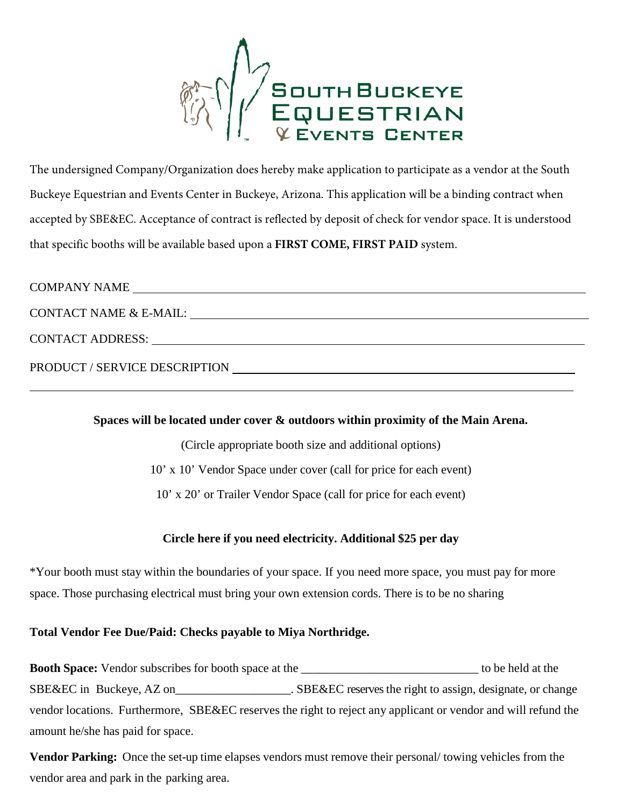

The undersigned Company/Organization does hereby make application to participate as a vendor at the South Buckeye Equestrian and Events Center in Buckeye, Arizona. This application will be a binding contract when accepted by SBE&EC. Acceptance of contract is reflected by deposit of check for vendor space. It is understood that specific booths will be available based upon a **FIRST COME, FIRST PAID** system.

| <b>COMPANY NAME</b>           |
|-------------------------------|
| CONTACT NAME & E-MAIL:        |
| <b>CONTACT ADDRESS:</b>       |
| PRODUCT / SERVICE DESCRIPTION |

## **Spaces will be located under cover & outdoors within proximity of the Main Arena.**

(Circle appropriate booth size and additional options) 10' x 10' Vendor Space under cover (call for price for each event) 10' x 20' or Trailer Vendor Space (call for price for each event)

## **Circle here if you need electricity. Additional \$25 per day**

\*Your booth must stay within the boundaries of your space. If you need more space, you must pay for more space. Those purchasing electrical must bring your own extension cords. There is to be no sharing

## **Total Vendor Fee Due/Paid: Checks payable to Miya Northridge.**

 $\overline{a}$ 

**Booth Space:** Vendor subscribes for booth space at the \_\_\_\_\_\_\_\_\_\_\_\_\_\_\_\_\_\_\_\_\_\_\_\_\_\_\_\_\_ to be held at the SBE&EC in Buckeye, AZ on\_\_\_\_\_\_\_\_\_\_\_\_\_\_\_\_\_\_\_\_. SBE&EC reserves the right to assign, designate, or change vendor locations. Furthermore, SBE&EC reserves the right to reject any applicant or vendor and will refund the amount he/she has paid for space.

**Vendor Parking:** Once the set-up time elapses vendors must remove their personal/ towing vehicles from the vendor area and park in the parking area.